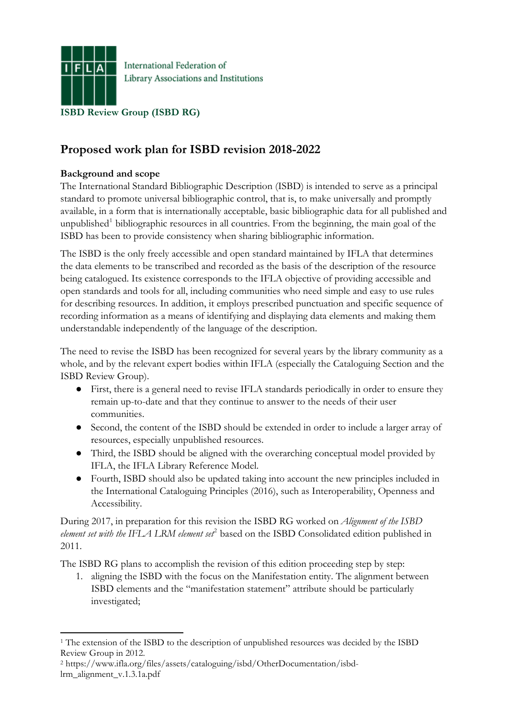

Library Associations and Institutions

**Proposed work plan for ISBD revision 2018-2022** 

## **Background and scope**

The International Standard Bibliographic Description (ISBD) is intended to serve as a principal standard to promote [universal bibliographic control](https://www.ifla.org/files/assets/bibliography/Documents/ifla-professional-statement-on-ubc-en.pdf), that is, to make universally and promptly available, in a form that is internationally acceptable, basic bibliographic data for all published and unpublished<sup>[1](#page-0-0)</sup> bibliographic resources in all countries. From the beginning, the main goal of the ISBD has been to provide consistency when sharing bibliographic information.

The ISBD is the only freely accessible and open standard maintained by IFLA that determines the data elements to be transcribed and recorded as the basis of the description of the resource being catalogued. Its existence corresponds to the IFLA objective of providing accessible and open standards and tools for all, including communities who need simple and easy to use rules for describing resources. In addition, it employs prescribed punctuation and specific sequence of recording information as a means of identifying and displaying data elements and making them understandable independently of the language of the description.

The need to revise the ISBD has been recognized for several years by the library community as a whole, and by the relevant expert bodies within IFLA (especially the Cataloguing Section and the ISBD Review Group).

- First, there is a general need to revise IFLA standards periodically in order to ensure they remain up-to-date and that they continue to answer to the needs of their user communities.
- Second, the content of the ISBD should be extended in order to include a larger array of resources, especially unpublished resources.
- Third, the ISBD should be aligned with the overarching conceptual model provided by IFLA, the IFLA Library Reference Model.
- Fourth, ISBD should also be updated taking into account the new principles included in the International Cataloguing Principles (2016), such as Interoperability, Openness and Accessibility.

During 2017, in preparation for this revision the ISBD RG worked on *Alignment of the ISBD*  element set with the IFLA LRM element set<sup>[2](#page-0-1)</sup> based on the ISBD Consolidated edition published in 2011.

The ISBD RG plans to accomplish the revision of this edition proceeding step by step:

1. aligning the ISBD with the focus on the Manifestation entity. The alignment between ISBD elements and the "manifestation statement" attribute should be particularly investigated;

<span id="page-0-1"></span>2 https://www.ifla.org/files/assets/cataloguing/isbd/OtherDocumentation/isbdlrm\_alignment\_v.1.3.1a.pdf

<span id="page-0-0"></span><sup>1</sup> <sup>1</sup> The extension of the ISBD to the description of unpublished resources was decided by the ISBD Review Group in 2012.